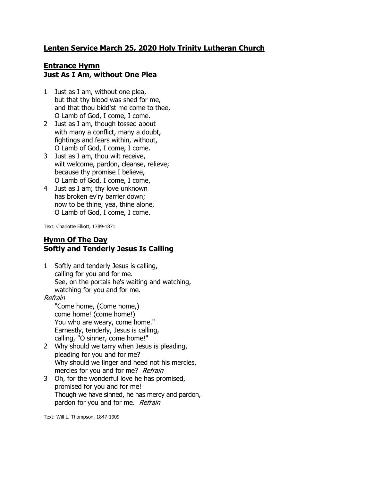## **Lenten Service March 25, 2020 Holy Trinity Lutheran Church**

## **Entrance Hymn Just As I Am, without One Plea**

- 1 Just as I am, without one plea, but that thy blood was shed for me, and that thou bidd'st me come to thee, O Lamb of God, I come, I come.
- 2 Just as I am, though tossed about with many a conflict, many a doubt, fightings and fears within, without, O Lamb of God, I come, I come.
- 3 Just as I am, thou wilt receive, wilt welcome, pardon, cleanse, relieve; because thy promise I believe, O Lamb of God, I come, I come,
- 4 Just as I am; thy love unknown has broken ev'ry barrier down; now to be thine, yea, thine alone, O Lamb of God, I come, I come.

Text: Charlotte Elliott, 1789-1871

### **Hymn Of The Day Softly and Tenderly Jesus Is Calling**

1 Softly and tenderly Jesus is calling, calling for you and for me. See, on the portals he's waiting and watching, watching for you and for me.

#### Refrain

"Come home, (Come home,) come home! (come home!) You who are weary, come home." Earnestly, tenderly, Jesus is calling, calling, "O sinner, come home!"

- 2 Why should we tarry when Jesus is pleading, pleading for you and for me? Why should we linger and heed not his mercies, mercies for you and for me? Refrain
- 3 Oh, for the wonderful love he has promised, promised for you and for me! Though we have sinned, he has mercy and pardon, pardon for you and for me. Refrain

Text: Will L. Thompson, 1847-1909